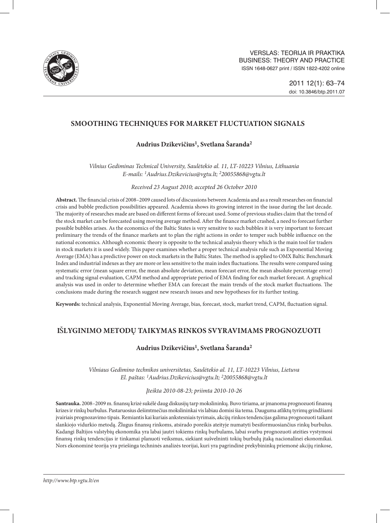

# **SMOOTHING TECHNIQUES FOR MARKET FLUCTUATION SIGNALS**

# **1 2 Audrius Dzikevičius , Svetlana Šaranda**

*Vilnius Gediminas Technical University, Saulėtekio al. 11, LT-10223 Vilnius, Lithuania E-mails: 1Audrius.Dzikevicius@vgtu.lt; 220055868@vgtu.lt*

*Received 23 August 2010; accepted 26 October 2010* 

**Abstract.** The financial crisis of 2008–2009 caused lots of discussions between Academia and as a result researches on financial crisis and bubble prediction possibilities appeared. Academia shows its growing interest in the issue during the last decade. The majority of researches made are based on different forms of forecast used. Some of previous studies claim that the trend of the stock market can be forecasted using moving average method. After the finance market crashed, a need to forecast further possible bubbles arises. As the economics of the Baltic States is very sensitive to such bubbles it is very important to forecast preliminary the trends of the finance markets ant to plan the right actions in order to temper such bubble influence on the national economics. Although economic theory is opposite to the technical analysis theory which is the main tool for traders in stock markets it is used widely. This paper examines whether a proper technical analysis rule such as Exponential Moving Average (EMA) has a predictive power on stock markets in the Baltic States. The method is applied to OMX Baltic Benchmark Index and industrial indexes as they are more or less sensitive to the main index fluctuations. The results were compared using systematic error (mean square error, the mean absolute deviation, mean forecast error, the mean absolute percentage error) and tracking signal evaluation, CAPM method and appropriate period of EMA finding for each market forecast. A graphical analysis was used in order to determine whether EMA can forecast the main trends of the stock market fluctuations. The conclusions made during the research suggest new research issues and new hypotheses for its further testing.

**Keywords:** technical analysis, Exponential Moving Average, bias, forecast, stock, market trend, CAPM, fluctuation signal.

# **I**Ð**LYGINIMO METODų TAIKYMAS RINKOS SVYRAVIMAMS PROGNOzUOTI**

## **Audrius Dzikevičius1, Svetlana Šaranda2**

*Vilniaus Gedimino technikos universitetas, Saulėtekio al. 11, LT-10223 Vilnius, Lietuva El. paštas: 1Audrius.Dzikevicius@vgtu.lt; 220055868@vgtu.lt*

*Įteikta 2010-08-23; priimta 2010-10-26* 

**Santrauka.** 2008–2009 m. finansų krizė sukėlė daug diskusijų tarp mokslininkų. Buvo tiriama, ar įmanoma prognozuoti finansų krizes ir rinkų burbulus. Pastaruosius dešimtmečius mokslininkai vis labiau domisi šia tema. Dauguma atliktų tyrimų grindžiami įvairiais prognozavimo tipais. Remiantis kai kuriais ankstesniais tyrimais, akcijų rinkos tendencijas galima prognozuoti taikant slankiojo vidurkio metodą. Žlugus finansų rinkoms, atsirado poreikis ateityje numatyti besiformuosiančius rinkų burbulus. Kadangi Baltijos valstybių ekonomika yra labai jautri tokiems rinkų burbulams, labai svarbu prognozuoti ateities vystymosi finansų rinkų tendencijas ir tinkamai planuoti veiksmus, siekiant sušvelninti tokių burbulų įtaką nacionalinei ekonomikai. Nors ekonominė teorija yra priešinga techninės analizės teorijai, kuri yra pagrindinė prekybininkų priemonė akcijų rinkose,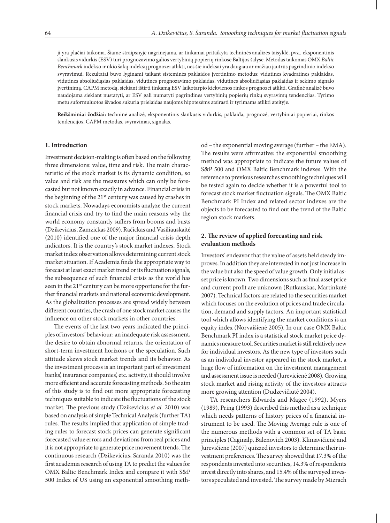ji yra plačiai taikoma. Šiame straipsnyje nagrinėjama, ar tinkamai pritaikyta techninės analizės taisyklė, pvz., eksponentinis slankusis vidurkis (ESV) turi prognozavimo galios vertybinių popierių rinkose Baltijos šalyse. Metodas taikomas OMX *Baltic Benchmark* indekso ir ūkio šakų indeksų prognozei atlikti, nes šie indeksai yra daugiau ar mažiau jautrūs pagrindinio indekso svyravimui. Rezultatai buvo lyginami taikant sisteminės paklaidos įvertinimo metodus: vidutines kvadratines paklaidas, vidutines absoliučiąsias paklaidas, vidutines prognozavimo paklaidas, vidutines absoliučiąsias paklaidas ir sekimo signalo įvertinimą, CAPM metodą, siekiant ištirti tinkamą ESV laikotarpio kiekvienos rinkos prognozei atlikti. Grafinė analizė buvo naudojama siekiant nustatyti, ar ESV gali numatyti pagrindines vertybinių popierių rinkų svyravimų tendencijas. Tyrimo metu suformuluotos išvados sukuria prielaidas naujoms hipotezėms atsirasti ir tyrimams atlikti ateityje.

**Reikšminiai žodžiai:** techninė analizė, eksponentinis slankusis vidurkis, paklaida, prognozė, vertybiniai popieriai, rinkos tendencijos, CAPM metodas, svyravimas, signalas.

#### **1. Introduction**

Investment decision-making is often based on the following three dimensions: value, time and risk. The main characteristic of the stock market is its dynamic condition, so value and risk are the measures which can only be forecasted but not known exactly in advance. Financial crisis in the beginning of the 21st century was caused by crashes in stock markets. Nowadays economists analyze the current financial crisis and try to find the main reasons why the world economy constantly suffers from booms and busts (Dzikevicius, Zamzickas 2009). Račickas and Vasiliauskaitė (2010) identified one of the major financial crisis depth indicators. It is the country's stock market indexes. Stock market index observation allows determining current stock market situation. If Academia finds the appropriate way to forecast at least exact market trend or its fluctuation signals, the subsequence of such financial crisis as the world has seen in the 21<sup>st</sup> century can be more opportune for the further financial markets and national economic development. As the globalization processes are spread widely between different countries, the crash of one stock market causes the influence on other stock markets in other countries.

The events of the last two years indicated the principles of investors' behaviour: an inadequate risk assessment, the desire to obtain abnormal returns, the orientation of short-term investment horizons or the speculation. Such attitude skews stock market trends and its behavior. As the investment process is an important part of investment banks', insurance companies', etc. activity, it should involve more efficient and accurate forecasting methods. So the aim of this study is to find out more appropriate forecasting techniques suitable to indicate the fluctuations of the stock market. The previous study (Dzikevicius *et al.* 2010) was based on analysis of simple Technical Analysis (further TA) rules. The results implied that application of simple trading rules to forecast stock prices can generate significant forecasted value errors and deviations from real prices and it is not appropriate to generate price movement trends. The continuous research (Dzikevicius, Saranda 2010) was the first academia research of using TA to predict the values for OMX Baltic Benchmark Index and compare it with S&P 500 Index of US using an exponential smoothing method – the exponential moving average (further – the EMA). The results were affirmative: the exponential smoothing method was appropriate to indicate the future values of S&P 500 and OMX Baltic Benchmark indexes. With the reference to previous researches smoothing techniques will be tested again to decide whether it is a powerful tool to forecast stock market fluctuation signals. The OMX Baltic Benchmark PI Index and related sector indexes are the objects to be forecasted to find out the trend of the Baltic region stock markets.

## **2. The review of applied forecasting and risk evaluation methods**

Investors' endeavor that the value of assets held steady improves. In addition they are interested in not just increase in the value but also the speed of value growth. Only initial asset price is known. Two dimensions such as final asset price and current profit are unknown (Rutkauskas, Martinkutė 2007). Technical factors are related to the securities market which focuses on the evolution of prices and trade circulation, demand and supply factors. An important statistical tool which allows identifying the market conditions is an equity index (Norvaišienė 2005). In our case OMX Baltic Benchmark PI index is a statistical stock market price dynamics measure tool. Securities market is still relatively new for individual investors. As the new type of investors such as an individual investor appeared in the stock market, a huge flow of information on the investment management and assessment issue is needed (Jurevicienė 2008). Growing stock market and rising activity of the investors attracts more growing attention (Dudzevičiūtė 2004).

TA researchers Edwards and Magee (1992), Myers (1989), Pring (1993) described this method as a technique which needs patterns of history prices of a financial instrument to be used. The Moving Average rule is one of the numerous methods with a common set of TA basic principles (Caginalp, Balenovich 2003). Klimavičienė and Jurevičienė (2007) quizzed investors to determine their investment preferences. The survey showed that 17.3% of the respondents invested into securities, 14.3% of respondents invest directly into shares, and 15.4% of the surveyed investors speculated and invested. The survey made by Mizrach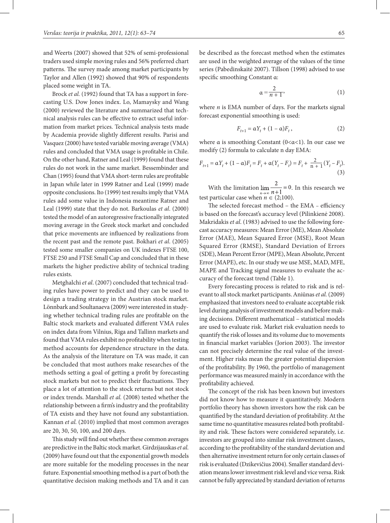and Weerts (2007) showed that 52% of semi-professional traders used simple moving rules and 56% preferred chart patterns. The survey made among market participants by Taylor and Allen (1992) showed that 90% of respondents placed some weight in TA.

Brock *et al.* (1992) found that TA has a support in forecasting U.S. Dow Jones index. Lo, Mamaysky and Wang (2000) reviewed the literature and summarized that technical analysis rules can be effective to extract useful information from market prices. Technical analysis tests made by Academia provide slightly different results. Parisi and Vasquez (2000) have tested variable moving average (VMA) rules and concluded that VMA usage is profitable in Chile. On the other hand, Ratner and Leal (1999) found that these rules do not work in the same market. Bessembinder and Chan (1995) found that VMA short-term rules are profitable in Japan while later in 1999 Ratner and Leal (1999) made opposite conclusions. Ito (1999) test results imply that VMA rules add some value in Indonesia meantime Ratner and Leal (1999) state that they do not. Barkoulas *et al*. (2000) tested the model of an autoregressive fractionally integrated moving average in the Greek stock market and concluded that price movements are influenced by realizations from the recent past and the remote past. Bokhari *et al*. (2005) tested some smaller companies on UK indexes FTSE 100, FTSE 250 and FTSE Small Cap and concluded that in these markets the higher predictive ability of technical trading rules exists.

Metghalchi *et al*. (2007) concluded that technical trading rules have power to predict and they can be used to design a trading strategy in the Austrian stock market. Lönnbark and Soultanaeva (2009) were interested in studying whether technical trading rules are profitable on the Baltic stock markets and evaluated different VMA rules on index data from Vilnius, Riga and Tallinn markets and found that VMA rules exhibit no profitability when testing method accounts for dependence structure in the data. As the analysis of the literature on TA was made, it can be concluded that most authors make researches of the methods setting a goal of getting a profit by forecasting stock markets but not to predict their fluctuations. They place a lot of attention to the stock returns but not stock or index trends. Marshall *et al.* (2008) tested whether the relationship between a firm's industry and the profitability of TA exists and they have not found any substantiation. Kannan *et al.* (2010) implied that most common averages are 20, 30, 50, 100, and 200 days.

This study will find out whether these common averages are predictive in the Baltic stock market. Girdzijauskas *et al*. (2009) have found out that the exponential growth models are more suitable for the modeling processes in the near future. Exponential smoothing method is a part of both the quantitative decision making methods and TA and it can

be described as the forecast method when the estimates are used in the weighted average of the values of the time series (Pabedinskaitė 2007). Tillson (1998) advised to use specific smoothing Constant α:

$$
\alpha = \frac{2}{n+1},\tag{1}
$$

where *n* is EMA number of days. For the markets signal forecast exponential smoothing is used:

$$
F_{t+1} = \alpha Y_t + (1 - \alpha) F_t, \qquad (2)
$$

where  $\alpha$  is smoothing Constant (0< $\alpha$ <1). In our case we modify (2) formula to calculate n day EMA:

$$
F_{t+1} = \alpha Y_t + (1 - \alpha) F_t = F_t + \alpha (Y_t - F_t) = F_t + \frac{2}{n+1} (Y_t - F_t).
$$
\n(3)

With the limitation  $\lim_{x\to 1} = 0$ . In this research we test particular case when  $n \in (2;100)$ .

The selected forecast method – the EMA *–* efficiency is based on the forecast's accuracy level (Pilinkienė 2008). Makridakis *et al*. (1983) advised to use the following forecast accuracy measures: Mean Error (ME), Mean Absolute Error (MAE), Mean Squared Error (MSE), Root Mean Squared Error (RMSE), Standard Deviation of Errors (SDE), Mean Percent Error (MPE), Mean Absolute, Percent Error (MAPE), etc. In our study we use MSE, MAD, MFE, MAPE and Tracking signal measures to evaluate the accuracy of the forecast trend (Table 1).

Every forecasting process is related to risk and is relevant to all stock market participants. Aniūnas *et al.* (2009) emphasized that investors need to evaluate acceptable risk level during analysis of investment models and before making decisions. Different mathematical – statistical models are used to evaluate risk. Market risk evaluation needs to quantify the risk of losses and its volume due to movements in financial market variables (Jorion 2003). The investor can not precisely determine the real value of the investment. Higher risks mean the greater potential dispersion of the profitability. By 1960, the portfolio of management performance was measured mainly in accordance with the profitability achieved.

The concept of the risk has been known but investors did not know how to measure it quantitatively. Modern portfolio theory has shown investors how the risk can be quantified by the standard deviation of profitability. At the same time no quantitative measures related both profitability and risk. These factors were considered separately, i.e. investors are grouped into similar risk investment classes, according to the profitability of the standard deviation and then alternative investment return for only certain classes of risk is evaluated (Dzikevičius 2004). Smaller standard deviation means lower investment risk level and vice versa. Risk cannot be fully appreciated by standard deviation of returns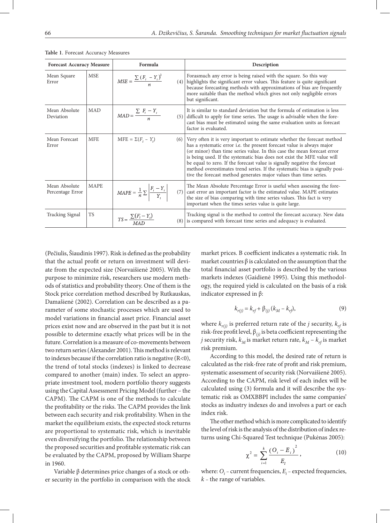| <b>Forecast Accuracy Measure</b>  |             | Formula                                                                      | Description                                                                                                                                                                                                                                                                                                                                                                                                                                                                                                                                    |  |  |  |
|-----------------------------------|-------------|------------------------------------------------------------------------------|------------------------------------------------------------------------------------------------------------------------------------------------------------------------------------------------------------------------------------------------------------------------------------------------------------------------------------------------------------------------------------------------------------------------------------------------------------------------------------------------------------------------------------------------|--|--|--|
| Mean Square<br>Error              | <b>MSE</b>  | $MSE = \frac{\sum (F_t - Y_t)^2}{n}$                                         | Forasmuch any error is being raised with the square. So this way<br>$(4)$ highlights the significant error values. This feature is quite significant<br>because forecasting methods with approximations of bias are frequently<br>more suitable than the method which gives not only negligible errors<br>but significant.                                                                                                                                                                                                                     |  |  |  |
| Mean Absolute<br>Deviation        | <b>MAD</b>  | $MAD = \frac{\sum F_i - Y_i}{n}$                                             | It is similar to standard deviation but the formula of estimation is less<br>$(5)$ difficult to apply for time series. The usage is advisable when the fore-<br>cast bias must be estimated using the same evaluation units as forecast<br>factor is evaluated.                                                                                                                                                                                                                                                                                |  |  |  |
| Mean Forecast<br>Error            | <b>MFE</b>  | $MFE = \Sigma(F_t - Y_t)$                                                    | $(6)$ Very often it is very important to estimate whether the forecast method<br>has a systematic error i.e. the present forecast value is always major<br>(or minor) than time series value. In this case the mean forecast error<br>is being used. If the systematic bias does not exist the MFE value will<br>be equal to zero. If the forecast value is signally negative the forecast<br>method overestimates trend series. If the systematic bias is signally posi-<br>tive the forecast method generates major values than time series. |  |  |  |
| Mean Absolute<br>Percentage Error | <b>MAPE</b> | $\text{MAPE} = \frac{1}{n} \sum \left  \frac{F_t - Y_t}{Y_t} \right $<br>(7) | The Mean Absolute Percentage Error is useful when assessing the fore-<br>cast error an important factor is the estimated value. MAPE estimates<br>the size of bias comparing with time series values. This fact is very<br>important when the times series value is quite large.                                                                                                                                                                                                                                                               |  |  |  |
| Tracking Signal                   | <b>TS</b>   | $TS = \frac{\sum (F_t - Y_t)}{MAD}$                                          | Tracking signal is the method to control the forecast accuracy. New data<br>$(8)$ is compared with forecast time series and adequacy is evaluated.                                                                                                                                                                                                                                                                                                                                                                                             |  |  |  |

**Table 1**. Forecast Accuracy Measures

(Pečiulis, Šiaudinis 1997). Risk is defined as the probability that the actual profit or return on investment will deviate from the expected size (Norvaišienė 2005). With the purpose to minimize risk, researchers use modern methods of statistics and probability theory. One of them is the Stock price correlation method described by Rutkauskas, Damašienė (2002). Correlation can be described as a parameter of some stochastic processes which are used to model variations in financial asset price. Financial asset prices exist now and are observed in the past but it is not possible to determine exactly what prices will be in the future. Correlation is a measure of co-movements between two return series (Alexander 2001). This method is relevant to indexes because if the correlation ratio is negative  $(R<0)$ , the trend of total stocks (indexes) is linked to decrease compared to another (main) index. To select an appropriate investment tool, modern portfolio theory suggests using the Capital Assessment Pricing Model (further – the CAPM). The CAPM is one of the methods to calculate the profitability or the risks. The CAPM provides the link between each security and risk profitability. When in the market the equilibrium exists, the expected stock returns are proportional to systematic risk, which is inevitable even diversifying the portfolio. The relationship between the proposed securities and profitable systematic risk can be evaluated by the CAPM, proposed by William Sharpe in 1960.

Variable β determines price changes of a stock or other security in the portfolio in comparison with the stock market prices. Β coefficient indicates a systematic risk. In market countries  $\beta$  is calculated on the assumption that the total financial asset portfolio is described by the various markets indexes (Gaidienė 1995). Using this methodology, the required yield is calculated on the basis of a risk indicator expressed in β:

$$
k_{r(j)} = k_{rf} + \beta_{(j)} (k_M - k_{rf}),
$$
\n(9)

where  $k_{r(i)}$  is preferred return rate of the *j* security,  $k_{rf}$  is risk-free profit level, β*(j)* is beta coefficient representing the *j* security risk,  $k_M$  is market return rate,  $k_M - k_{rf}$  is market risk premium.

According to this model, the desired rate of return is calculated as the risk-free rate of profit and risk premium, systematic assessment of security risk (Norvaišienė 2005). According to the CAPM, risk level of each index will be calculated using (3) formula and it will describe the systematic risk as OMXBBPI includes the same companies' stocks as industry indexes do and involves a part or each index risk.

The other method which is more complicated to identify the level of risk is the analysis of the distribution of index returns using Chi-Squared Test technique (Pukėnas 2005):

$$
\chi^2 = \sum_{i=1}^k \frac{(O_i - E_i)^2}{E_I},
$$
\n(10)

where:  $O_i$  – current frequencies,  $E_i$  – expected frequencies, *k –* the range of variables.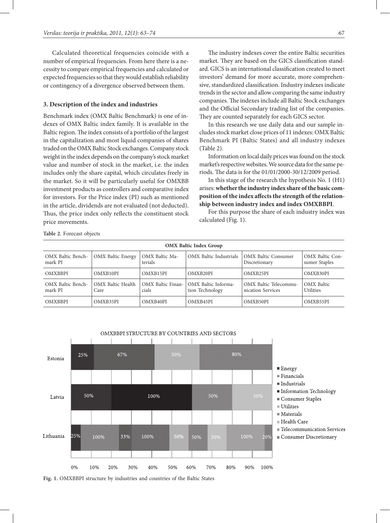Calculated theoretical frequencies coincide with a number of empirical frequencies. From here there is a necessity to compare empirical frequencies and calculated or expected frequencies so that they would establish reliability or contingency of a divergence observed between them.

## **3. Description of the index and industries**

Benchmark index (OMX Baltic Benchmark) is one of indexes of OMX Baltic index family. It is available in the Baltic region. The index consists of a portfolio of the largest in the capitalization and most liquid companies of shares traded on the OMX Baltic Stock exchanges. Company stock weight in the index depends on the company's stock market value and number of stock in the market, i.e. the index includes only the share capital, which circulates freely in the market. So it will be particularly useful for OMXBB investment products as controllers and comparative index for investors. For the Price index (PI) such as mentioned in the article, dividends are not evaluated (not deducted). Thus, the price index only reflects the constituent stock price movements.

The industry indexes cover the entire Baltic securities market. They are based on the GICS classification standard. GICS is an international classification created to meet investors' demand for more accurate, more comprehensive, standardized classification. Industry indexes indicate trends in the sector and allow comparing the same industry companies. The indexes include all Baltic Stock exchanges and the Official Secondary trading list of the companies. They are counted separately for each GICS sector.

In this research we use daily data and our sample includes stock market close prices of 11 indexes: OMX Baltic Benchmark PI (Baltic States) and all industry indexes (Table 2).

Information on local daily prices was found on the stock market's respective websites. We source data for the same periods. The data is for the 01/01/2000-30/12/2009 period.

In this stage of the research the hypothesis No. 1 (H1) arises: **whether the industry index share of the basic composition of the index affects the strength of the relationship between industry index and index OMXBBPI**.

For this purpose the share of each industry index was calculated (Fig. 1).

**Table 2**. Forecast objects

| <b>OMX Baltic Index Group</b> |                           |                            |                                        |                                             |                                         |  |  |  |  |
|-------------------------------|---------------------------|----------------------------|----------------------------------------|---------------------------------------------|-----------------------------------------|--|--|--|--|
| OMX Baltic Bench-<br>mark PI  | <b>OMX</b> Baltic Energy  | OMX Baltic Ma-<br>terials  | OMX Baltic Industrials                 | <b>OMX</b> Baltic Consumer<br>Discretionary | <b>OMX</b> Baltic Con-<br>sumer Staples |  |  |  |  |
| <b>OMXBBPI</b>                | OMXB10PI                  | OMXB15PI                   | OMXB20PI                               | OMXB25PI                                    | OMXB30PI                                |  |  |  |  |
| OMX Baltic Bench-<br>mark PI  | OMX Baltic Health<br>Care | OMX Baltic Finan-<br>cials | OMX Baltic Informa-<br>tion Technology | OMX Baltic Telecommu-<br>nication Services  | <b>OMX</b> Baltic<br><b>Utilities</b>   |  |  |  |  |
| <b>OMXBBPI</b>                | OMXB35PI                  | OMXB40PI                   | OMXB45PI                               | OMXB50PI                                    | OMXB55PI                                |  |  |  |  |



**Fig. 1.** OMXBBPI structure by industries and countries of the Baltic States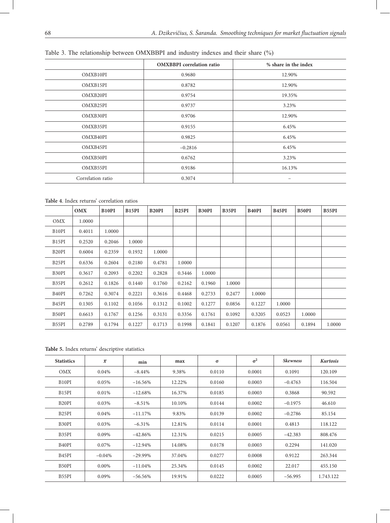# Table 3. The relationship between OMXBBPI and industry indexes and their share (%)

|                   | <b>OMXBBPI</b> correlation ratio | % share in the index |
|-------------------|----------------------------------|----------------------|
| OMXB10PI          | 0.9680                           | 12.90%               |
| OMXB15PI          | 0.8782                           | 12.90%               |
| OMXB20PI          | 0.9754                           | 19.35%               |
| OMXB25PI          | 0.9737                           | 3.23%                |
| OMXB30PI          | 0.9706                           | 12.90%               |
| OMXB35PI          | 0.9155                           | 6.45%                |
| OMXB40PI          | 0.9825                           | 6.45%                |
| OMXB45PI          | $-0.2816$                        | 6.45%                |
| OMXB50PI          | 0.6762                           | 3.23%                |
| OMXB55PI          | 0.9186                           | 16.13%               |
| Correlation ratio | 0.3074                           |                      |

**Table 4**. Index returns' correlation ratios

|                                | <b>OMX</b> | B <sub>10</sub> P <sub>I</sub> | B15PI  | <b>B20PI</b> | B <sub>25</sub> PI | <b>B30PI</b> | B35PI  | <b>B40PI</b> | B <sub>45</sub> PI | B50PI  | B55PI  |
|--------------------------------|------------|--------------------------------|--------|--------------|--------------------|--------------|--------|--------------|--------------------|--------|--------|
| OMX                            | 1.0000     |                                |        |              |                    |              |        |              |                    |        |        |
| B <sub>10</sub> P <sub>I</sub> | 0.4011     | 1.0000                         |        |              |                    |              |        |              |                    |        |        |
| B <sub>15</sub> PI             | 0.2520     | 0.2046                         | 1.0000 |              |                    |              |        |              |                    |        |        |
| B <sub>20</sub> PI             | 0.6004     | 0.2359                         | 0.1932 | 1.0000       |                    |              |        |              |                    |        |        |
| B <sub>25</sub> PI             | 0.6336     | 0.2604                         | 0.2180 | 0.4781       | 1.0000             |              |        |              |                    |        |        |
| B30PI                          | 0.3617     | 0.2093                         | 0.2202 | 0.2828       | 0.3446             | 1.0000       |        |              |                    |        |        |
| B35PI                          | 0.2612     | 0.1826                         | 0.1440 | 0.1760       | 0.2162             | 0.1960       | 1.0000 |              |                    |        |        |
| B <sub>40</sub> PI             | 0.7262     | 0.3074                         | 0.2221 | 0.3616       | 0.4468             | 0.2733       | 0.2477 | 1.0000       |                    |        |        |
| B <sub>45</sub> PI             | 0.1305     | 0.1102                         | 0.1056 | 0.1312       | 0.1002             | 0.1277       | 0.0856 | 0.1227       | 1.0000             |        |        |
| B50PI                          | 0.6613     | 0.1767                         | 0.1256 | 0.3131       | 0.3356             | 0.1761       | 0.1092 | 0.3205       | 0.0523             | 1.0000 |        |
| B55PI                          | 0.2789     | 0.1794                         | 0.1227 | 0.1713       | 0.1998             | 0.1841       | 0.1207 | 0.1876       | 0.0561             | 0.1894 | 1.0000 |

**Table 5.** Index returns' descriptive statistics

| <b>Statistics</b>              | $\overline{x}$ | min        | max    | $\sigma$ | $\sigma^2$ | <b>Skewness</b> | <b>Kurtosis</b> |
|--------------------------------|----------------|------------|--------|----------|------------|-----------------|-----------------|
| OMX                            | 0.04%          | $-8.44%$   | 9.38%  | 0.0110   | 0.0001     | 0.1091          | 120.109         |
| B <sub>10</sub> P <sub>I</sub> | 0.05%          | $-16.56%$  | 12.22% | 0.0160   | 0.0003     | $-0.4763$       | 116.504         |
| B <sub>15</sub> PI             | 0.01%          | $-12.68%$  | 16.37% | 0.0185   | 0.0003     | 0.3868          | 90.592          |
| B <sub>20</sub> PI             | 0.03%          | $-8.51%$   | 10.10% | 0.0144   | 0.0002     | $-0.1975$       | 46.610          |
| B <sub>25</sub> PI             | 0.04%          | $-11.17\%$ | 9.83%  | 0.0139   | 0.0002     | $-0.2786$       | 85.154          |
| B30PI                          | 0.03%          | $-6.31%$   | 12.81% | 0.0114   | 0.0001     | 0.4813          | 118.122         |
| B35PI                          | 0.09%          | $-42.86%$  | 12.31% | 0.0215   | 0.0005     | $-42.383$       | 808.476         |
| B <sub>40</sub> PI             | 0.07%          | $-12.94\%$ | 14.08% | 0.0178   | 0.0003     | 0.2294          | 141.020         |
| B <sub>45</sub> PI             | $-0.04%$       | $-29.99\%$ | 37.04% | 0.0277   | 0.0008     | 0.9122          | 263.344         |
| B <sub>50</sub> PI             | $0.00\%$       | $-11.04%$  | 25.34% | 0.0145   | 0.0002     | 22.017          | 455.150         |
| B55PI                          | 0.09%          | $-56.56%$  | 19.91% | 0.0222   | 0.0005     | $-56.995$       | 1.743.122       |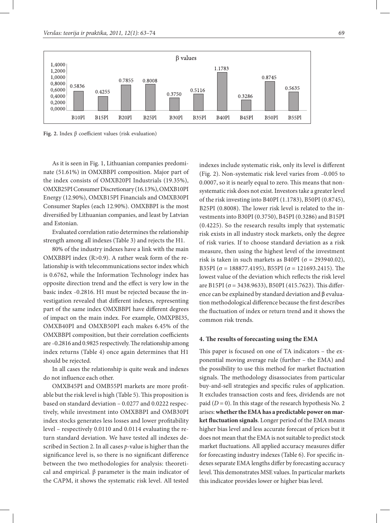

**Fig. 2.** Index β coefficient values (risk evaluation)

As it is seen in Fig. 1, Lithuanian companies predominate (51.61%) in OMXBBPI composition. Major part of the index consists of OMXB20PI Industrials (19.35%), OMXB25PI Consumer Discretionary (16.13%), OMXB10PI Energy (12.90%), OMXB15PI Financials and OMXB30PI Consumer Staples (each 12.90%). OMXBBPI is the most diversified by Lithuanian companies, and least by Latvian and Estonian.

Evaluated correlation ratio determines the relationship strength among all indexes (Table 3) and rejects the H1.

80% of the industry indexes have a link with the main OMXBBPI index (R>0.9). A rather weak form of the relationship is with telecommunications sector index which is 0.6762, while the Information Technology index has opposite direction trend and the effect is very low in the basic index *–*0.2816. H1 must be rejected because the investigation revealed that different indexes, representing part of the same index OMXBBPI have different degrees of impact on the main index. For example, OMXPBI35, OMXB40PI and OMXB50PI each makes 6.45% of the OMXBBPI composition, but their correlation coefficients are *–*0.2816 and 0.9825 respectively. The relationship among index returns (Table 4) once again determines that H1 should be rejected.

In all cases the relationship is quite weak and indexes do not influence each other.

OMXB45PI and OMB55PI markets are more profitable but the risk level is high (Table 5). This proposition is based on standard deviation – 0.0277 and 0.0222 respectively, while investment into OMXBBPI and OMB30PI index stocks generates less losses and lower profitability level – respectively 0.0110 and 0.0114 evaluating the return standard deviation. We have tested all indexes described in Section 2. In all cases *p*-value is higher than the significance level is, so there is no significant difference between the two methodologies for analysis: theoretical and empirical. β parameter is the main indicator of the CAPM, it shows the systematic risk level. All tested

indexes include systematic risk, only its level is different (Fig. 2). Non-systematic risk level varies from *–*0.005 to 0.0007, so it is nearly equal to zero. This means that nonsystematic risk does not exist. Investors take a greater level of the risk investing into B40PI (1.1783), B50PI (0.8745), B25PI (0.8008). The lower risk level is related to the investments into B30PI (0.3750), B45PI (0.3286) and B15PI (0.4225). So the research results imply that systematic risk exists in all industry stock markets, only the degree of risk varies. If to choose standard deviation as a risk measure, then using the highest level of the investment risk is taken in such markets as B40PI ( $\sigma$  = 293940.02), B35PI ( $\sigma$  = 188877.4195), B55PI ( $\sigma$  = 121693.2415). The lowest value of the deviation which reflects the risk level are B15PI (σ = 3438.9633), B50PI (415.7623). This difference can be explained by standard deviation and β evaluation methodological difference because the first describes the fluctuation of index or return trend and it shows the common risk trends.

### **4. The results of forecasting using the EMA**

This paper is focused on one of TA indicators – the exponential moving average rule (further – the EMA) and the possibility to use this method for market fluctuation signals. The methodology disassociates from particular buy-and-sell strategies and specific rules of application. It excludes transaction costs and fees, dividends are not paid (*D* = 0). In this stage of the research hypothesis No. 2 arises: **whether the EMA has a predictable power on market fluctuation signals**. Longer period of the EMA means higher bias level and less accurate forecast of prices but it does not mean that the EMA is not suitable to predict stock market fluctuations. All applied accuracy measures differ for forecasting industry indexes (Table 6). For specific indexes separate EMA lengths differ by forecasting accuracy level. This demonstrates MSE values. In particular markets this indicator provides lower or higher bias level.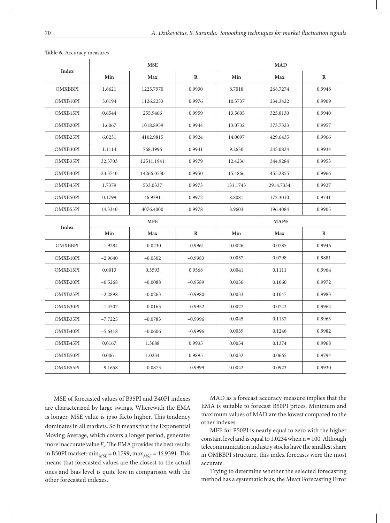|                |           | <b>MSE</b> |           | <b>MAD</b>  |            |              |  |  |
|----------------|-----------|------------|-----------|-------------|------------|--------------|--|--|
| Index          | Min       | <b>Max</b> | $\bf{R}$  | Min         | <b>Max</b> | $\bf{R}$     |  |  |
| <b>OMXBBPI</b> | 1.6621    | 1225.7970  | 0.9930    | 8.7018      | 268.7274   | 0.9948       |  |  |
| OMXB10PI       | 3.0194    | 1126.2233  | 0.9976    | 10.3737     | 234.3422   | 0.9909       |  |  |
| OMXB15PI       | 0.6544    | 255.9466   | 0.9959    | 13.5605     | 325.8130   | 0.9940       |  |  |
| OMXB20PI       | 1.6067    | 1018.8959  | 0.9944    | 13.0732     | 373.7323   | 0.9957       |  |  |
| OMXB25PI       | 6.0231    | 4102.9815  | 0.9924    | 14.0097     | 429.6435   | 0.9966       |  |  |
| OMXB30PI       | 1.1114    | 768.3996   | 0.9941    | 9.2630      | 245.0824   | 0.9934       |  |  |
| OMXB35PI       | 32.3703   | 12511.1941 | 0.9979    | 12.4236     | 344.9284   | 0.9953       |  |  |
| OMXB40PI       | 23.3740   | 14266.0530 | 0.9950    | 15.4866     | 455.2855   | 0.9966       |  |  |
| OMXB45PI       | 1.7379    | 533.0337   | 0.9973    | 131.1743    | 2914.7334  | 0.9927       |  |  |
| OMXB50PI       | 0.1799    | 46.9391    | 0.9972    | 8.8081      | 172.3010   | 0.9741       |  |  |
| OMXB55PI       | 14.3340   | 4076.4000  | 0.9978    | 8.9603      | 196.4084   | 0.9905       |  |  |
|                |           | <b>MFE</b> |           | <b>MAPE</b> |            |              |  |  |
| <b>Index</b>   | Min       | Max        | $\bf R$   | Min         | Max        | $\mathbf{R}$ |  |  |
| <b>OMXBBPI</b> | $-1.9284$ | $-0.0230$  | $-0.9961$ | 0.0026      | 0.0785     | 0.9946       |  |  |
| OMXB10PI       | $-2.9640$ | $-0.0302$  | $-0.9983$ | 0.0037      | 0.0798     | 0.9881       |  |  |
| OMXB15PI       | 0.0013    | 0.3593     | 0.9568    | 0.0041      | 0.1111     | 0.9964       |  |  |
| OMXB20PI       | $-0.5268$ | $-0.0088$  | $-0.9589$ | 0.0036      | 0.1060     | 0.9972       |  |  |
| OMXB25PI       | $-2.2898$ | $-0.0263$  | $-0.9980$ | 0.0033      | 0.1047     | 0.9983       |  |  |
| OMXB30PI       | $-1.4507$ | $-0.0165$  | $-0.9952$ | 0.0027      | 0.0742     | 0.9964       |  |  |
| OMXB35PI       | $-7.7225$ | $-0.0783$  | $-0.9996$ | 0.0045      | 0.1137     | 0.9963       |  |  |
| OMXB40PI       | $-5.6418$ | $-0.0606$  | $-0.9996$ | 0.0039      | 0.1246     | 0.9982       |  |  |
| OMXB45PI       | 0.0167    | 1.3688     | 0.9935    | 0.0054      | 0.1374     | 0.9968       |  |  |
| OMXB50PI       | 0.0061    | 1.0234     | 0.9895    | 0.0032      | 0.0665     | 0.9794       |  |  |
| OMXB55PI       | $-9.1658$ | $-0.0873$  | $-0.9999$ | 0.0042      | 0.0923     | 0.9930       |  |  |

**Table 6**. Accuracy measures

MSE of forecasted values of B35PI and B40PI indexes are characterized by large swings. Wherewith the EMA is longer, MSE value is ipso facto higher. This tendency dominates in all markets. So it means that the Exponential Moving Average, which covers a longer period, generates more inaccurate value  $F_t$ . The EMA provides the best results in B50PI market:  $\min_{MSE} = 0.1799$ ,  $\max_{MSE} = 46.9391$ . This means that forecasted values are the closest to the actual ones and bias level is quite low in comparison with the other forecasted indexes.

MAD as a forecast accuracy measure implies that the EMA is suitable to forecast B50PI prices. Minimum and maximum values of MAD are the lowest compared to the other indexes.

MFE for P50PI is nearly equal to zero with the higher constant level and is equal to  $1.0234$  when  $n = 100$ . Although telecommunication industry stocks have the smallest share in OMBBPI structure, this index forecasts were the most accurate.

Trying to determine whether the selected forecasting method has a systematic bias, the Mean Forecasting Error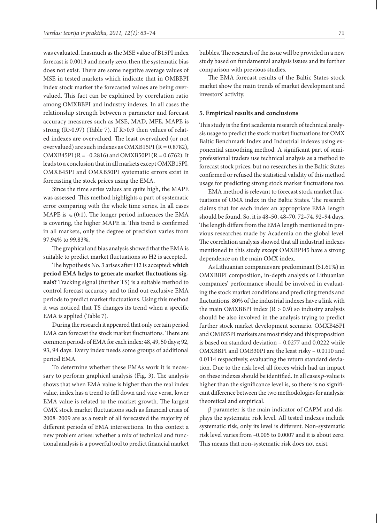was evaluated. Inasmuch as the MSE value of B15PI index forecast is 0.0013 and nearly zero, then the systematic bias does not exist. There are some negative average values of MSE in tested markets which indicate that in OMBBPI index stock market the forecasted values are being overvalued. This fact can be explained by correlation ratio among OMXBBPI and industry indexes. In all cases the relationship strength between *n* parameter and forecast accuracy measures such as MSE, MAD, MFE, MAPE is strong (R>0.97) (Table 7). If R>0.9 then values of related indexes are overvalued. The least overvalued (or not overvalued) are such indexes as OMXB15PI ( $R = 0.8782$ ), OMXB45PI (R = *–*0.2816) and OMXB50PI (R = 0.6762). It leads to a conclusion that in all markets except OMXB15PI, OMXB45PI and OMXB50PI systematic errors exist in forecasting the stock prices using the EMA.

Since the time series values are quite high, the MAPE was assessed. This method highlights a part of systematic error comparing with the whole time series. In all cases MAPE is  $\in$  (0;1). The longer period influences the EMA is covering, the higher MAPE is. This trend is confirmed in all markets, only the degree of precision varies from 97.94% to 99.83%.

The graphical and bias analysis showed that the EMA is suitable to predict market fluctuations so H2 is accepted.

The hypothesis No. 3 arises after H2 is accepted: **which period EMA helps to generate market fluctuations signals?** Tracking signal (further TS) is a suitable method to control forecast accuracy and to find out exclusive EMA periods to predict market fluctuations. Using this method it was noticed that TS changes its trend when a specific EMA is applied (Table 7).

During the research it appeared that only certain period EMA can forecast the stock market fluctuations. There are common periods of EMA for each index: 48, 49, 50 days; 92, 93, 94 days. Every index needs some groups of additional period EMA.

To determine whether these EMAs work it is necessary to perform graphical analysis (Fig. 3). The analysis shows that when EMA value is higher than the real index value, index has a trend to fall down and vice versa, lower EMA value is related to the market growth. The largest OMX stock market fluctuations such as financial crisis of 2008*–*2009 are as a result of all forecasted the majority of different periods of EMA intersections. In this context a new problem arises: whether a mix of technical and functional analysis is a powerful tool to predict financial market

bubbles. The research of the issue will be provided in a new study based on fundamental analysis issues and its further comparison with previous studies.

The EMA forecast results of the Baltic States stock market show the main trends of market development and investors' activity.

### **5. Empirical results and conclusions**

This study is the first academia research of technical analysis usage to predict the stock market fluctuations for OMX Baltic Benchmark Index and Industrial indexes using exponential smoothing method. A significant part of semiprofessional traders use technical analysis as a method to forecast stock prices, but no researches in the Baltic States confirmed or refused the statistical validity of this method usage for predicting strong stock market fluctuations too.

EMA method is relevant to forecast stock market fluctuations of OMX index in the Baltic States. The research claims that for each index an appropriate EMA length should be found. So, it is 48*–*50, 48*–*70, 72*–*74, 92*–*94 days. The length differs from the EMA length mentioned in previous researches made by Academia on the global level. The correlation analysis showed that all industrial indexes mentioned in this study except OMXBPI45 have a strong dependence on the main OMX index.

As Lithuanian companies are predominant (51.61%) in OMXBBPI composition, in-depth analysis of Lithuanian companies' performance should be involved in evaluating the stock market conditions and predicting trends and fluctuations. 80% of the industrial indexes have a link with the main OMXBBPI index  $(R > 0.9)$  so industry analysis should be also involved in the analysis trying to predict further stock market development scenario. OMXB45PI and OMB55PI markets are most risky and this proposition is based on standard deviation – 0.0277 and 0.0222 while OMXBBPI and OMB30PI are the least risky – 0.0110 and 0.0114 respectively, evaluating the return standard deviation. Due to the risk level all forces which had an impact on these indexes should be identified. In all cases *p*-value is higher than the significance level is, so there is no significant difference between the two methodologies for analysis: theoretical and empirical.

β parameter is the main indicator of CAPM and displays the systematic risk level. All tested indexes include systematic risk, only its level is different. Non-systematic risk level varies from *–*0.005 to 0.0007 and it is about zero. This means that non-systematic risk does not exist.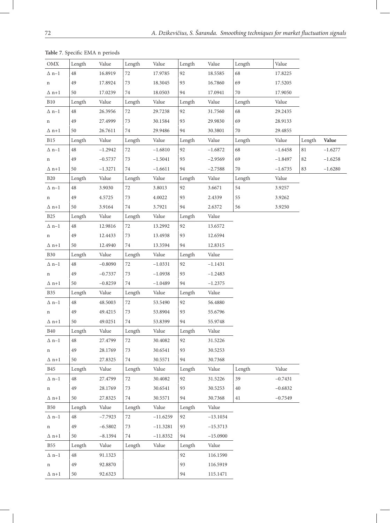| OMX          | Length | Value     | Length | Value      | Length | Value      | Length | Value     |        |           |
|--------------|--------|-----------|--------|------------|--------|------------|--------|-----------|--------|-----------|
| $\Delta$ n-1 | 48     | 16.8919   | 72     | 17.9785    | 92     | 18.5585    | 68     | 17.8225   |        |           |
| n            | 49     | 17.8924   | 73     | 18.3045    | 93     | 16.7860    | 69     | 17.5205   |        |           |
| $\Delta$ n+1 | 50     | 17.0239   | 74     | 18.0503    | 94     | 17.0941    | $70\,$ | 17.9050   |        |           |
| <b>B10</b>   | Length | Value     | Length | Value      | Length | Value      | Length | Value     |        |           |
| $\Delta$ n-1 | 48     | 26.3956   | $72\,$ | 29.7238    | 92     | 31.7560    | 68     | 29.2435   |        |           |
| n            | 49     | 27.4999   | 73     | 30.1584    | 93     | 29.9830    | 69     | 28.9133   |        |           |
| $\Delta$ n+1 | 50     | 26.7611   | 74     | 29.9486    | 94     | 30.3801    | $70\,$ | 29.4855   |        |           |
| <b>B</b> 15  | Length | Value     | Length | Value      | Length | Value      | Length | Value     | Length | Value     |
| $\Delta$ n-1 | 48     | $-1.2942$ | $72\,$ | $-1.6810$  | 92     | $-1.6872$  | 68     | $-1.6458$ | $81\,$ | $-1.6277$ |
| n            | 49     | $-0.5737$ | 73     | $-1.5041$  | 93     | $-2.9569$  | 69     | $-1.8497$ | 82     | $-1.6258$ |
| $\Delta$ n+1 | 50     | $-1.3271$ | 74     | $-1.6611$  | 94     | $-2.7588$  | 70     | $-1.6735$ | 83     | $-1.6280$ |
| <b>B20</b>   | Length | Value     | Length | Value      | Length | Value      | Length | Value     |        |           |
| $\Delta$ n-1 | 48     | 3.9030    | $72\,$ | 3.8013     | 92     | 3.6671     | 54     | 3.9257    |        |           |
| n            | 49     | 4.5725    | 73     | 4.0022     | 93     | 2.4339     | 55     | 3.9262    |        |           |
| $\Delta$ n+1 | 50     | 3.9164    | $74\,$ | 3.7921     | 94     | 2.6372     | 56     | 3.9250    |        |           |
| <b>B25</b>   | Length | Value     | Length | Value      | Length | Value      |        |           |        |           |
| $\Delta$ n-1 | 48     | 12.9816   | $72\,$ | 13.2992    | 92     | 13.6572    |        |           |        |           |
| n            | 49     | 12.4433   | 73     | 13.4938    | 93     | 12.6594    |        |           |        |           |
| $\Delta$ n+1 | 50     | 12.4940   | 74     | 13.3594    | 94     | 12.8315    |        |           |        |           |
| <b>B30</b>   | Length | Value     | Length | Value      | Length | Value      |        |           |        |           |
| $\Delta$ n-1 | 48     | $-0.8090$ | $72\,$ | $-1.0331$  | 92     | $-1.1431$  |        |           |        |           |
| n            | 49     | $-0.7337$ | 73     | $-1.0938$  | 93     | $-1.2483$  |        |           |        |           |
| $\Delta$ n+1 | 50     | $-0.8259$ | 74     | $-1.0489$  | 94     | $-1.2375$  |        |           |        |           |
| <b>B35</b>   | Length | Value     | Length | Value      | Length | Value      |        |           |        |           |
| $\Delta$ n-1 | 48     | 48.5003   | 72     | 53.5490    | 92     | 56.4880    |        |           |        |           |
| n            | 49     | 49.4215   | 73     | 53.8904    | 93     | 55.6796    |        |           |        |           |
| $\Delta$ n+1 | 50     | 49.0251   | 74     | 53.8399    | 94     | 55.9748    |        |           |        |           |
| <b>B40</b>   | Length | Value     | Length | Value      | Length | Value      |        |           |        |           |
| $\Delta$ n-1 | 48     | 27.4799   | 72     | 30.4082    | 92     | 31.5226    |        |           |        |           |
| n            | 49     | 28.1769   | 73     | 30.6541    | 93     | 30.5253    |        |           |        |           |
| $\Delta$ n+1 | 50     | 27.8325   | $74\,$ | 30.5571    | 94     | 30.7368    |        |           |        |           |
| <b>B45</b>   | Length | Value     | Length | Value      | Length | Value      | Length | Value     |        |           |
| $\Delta$ n-1 | 48     | 27.4799   | $72\,$ | 30.4082    | 92     | 31.5226    | 39     | $-0.7431$ |        |           |
| n            | 49     | 28.1769   | 73     | 30.6541    | 93     | 30.5253    | 40     | $-0.6832$ |        |           |
| $\Delta$ n+1 | 50     | 27.8325   | $74\,$ | 30.5571    | 94     | 30.7368    | 41     | $-0.7549$ |        |           |
| <b>B50</b>   | Length | Value     | Length | Value      | Length | Value      |        |           |        |           |
| $\Delta$ n-1 | 48     | $-7.7923$ | $72\,$ | $-11.6259$ | 92     | $-13.1034$ |        |           |        |           |
| $\mathbf n$  | 49     | $-6.5802$ | 73     | $-11.3281$ | 93     | $-15.3713$ |        |           |        |           |
| $\Delta$ n+1 | 50     | $-8.1394$ | $74\,$ | $-11.8352$ | 94     | $-15.0900$ |        |           |        |           |
| <b>B55</b>   | Length | Value     | Length | Value      | Length | Value      |        |           |        |           |
| $\Delta$ n-1 | 48     | 91.1323   |        |            | 92     | 116.1590   |        |           |        |           |
| n            | 49     | 92.8870   |        |            | 93     | 116.5919   |        |           |        |           |
| $\Delta$ n+1 | 50     | 92.6323   |        |            | 94     | 115.1471   |        |           |        |           |

**Table 7**. Specific EMA n periods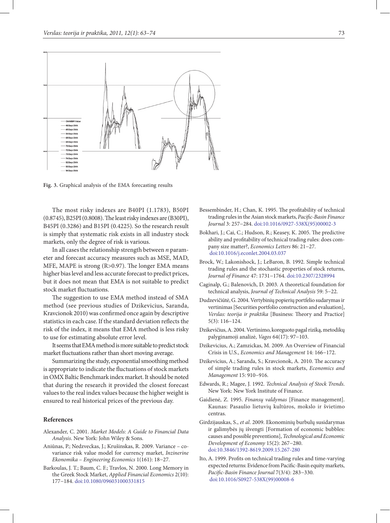

**Fig. 3.** Graphical analysis of the EMA forecasting results

The most risky indexes are B40PI (1.1783), B50PI (0.8745), B25PI (0.8008). The least risky indexes are (B30PI), B45PI (0.3286) and B15PI (0.4225). So the research result is simply that systematic risk exists in all industry stock markets, only the degree of risk is various.

In all cases the relationship strength between *n* parameter and forecast accuracy measures such as MSE, MAD, MFE, MAPE is strong (R>0.97). The longer EMA means higher bias level and less accurate forecast to predict prices, but it does not mean that EMA is not suitable to predict stock market fluctuations.

The suggestion to use EMA method instead of SMA method (see previous studies of Dzikevicius, Saranda, Kravcionok 2010) was confirmed once again by descriptive statistics in each case. If the standard deviation reflects the risk of the index, it means that EMA method is less risky to use for estimating absolute error level.

It seems that EMA method is more suitable to predict stock market fluctuations rather than short moving average.

Summarizing the study, exponential smoothing method is appropriate to indicate the fluctuations of stock markets in OMX Baltic Benchmark index market. It should be noted that during the research it provided the closest forecast values to the real index values because the higher weight is ensured to real historical prices of the previous day.

### **References**

- Alexander, C. 2001. *Market Models: A Guide to Financial Data Analysis*. New York: John Wiley & Sons.
- Aniūnas, P.; Nedzveckas, J.; Krušinskas, R. 2009. Variance covariance risk value model for currency market, *Inzinerine Ekonomika* – *Engineering Economics* 1(161): 18−27.
- Barkoulas, J. T.; Baum, C. F.; Travlos, N. 2000. Long Memory in the Greek Stock Market, *Applied Financial Economics* 2(10): 177−184. doi:10.1080/096031000331815
- Bessembinder, H.; Chan, K. 1995. The profitability of technical trading rules in the Asian stock markets, *Pacific-Basin Finance Journal* 3: 257−284. doi:10.1016/0927-538X(95)00002-3
- Bokhari, J.; Cai, C.; Hudson, R.; Keasey, K. 2005. The predictive ability and profitability of technical trading rules: does company size matter?, *Economics Letters* 86: 21−27. doi:10.1016/j.econlet.2004.03.037
- Brock, W.; Lakonishock, J.; LeBaron, B. 1992. Simple technical trading rules and the stochastic properties of stock returns, *Journal of Finance* 47: 1731−1764. doi:10.2307/2328994
- Caginalp, G.; Balenovich, D. 2003. A theoretical foundation for technical analysis, *Journal of Technical Analysis* 59: 5−22.
- Dudzevičiūtė, G. 2004. Vertybinių popierių portfelio sudarymas ir vertinimas [Securities portfolio construction and evaluation], *Verslas: teorija ir praktika* [Business: Theory and Practice] 5(3): 116−124.
- Dzikevičius, A. 2004. Vertinimo, koreguoto pagal riziką, metodikų palyginamoji analizė, *Vagos* 64(17): 97−103.
- Dzikevicius, A.; Zamzickas, M. 2009. An Overview of Financial Crisis in U.S., *Economics and Management* 14: 166−172.
- Dzikevicius, A.; Saranda, S.; Kravcionok, A. 2010. The accuracy of simple trading rules in stock markets, *Economics and Management* 15: 910−916.
- Edwards, R.; Magee, J. 1992. *Technical Analysis of Stock Trends*. New York: New York Institute of Finance.
- Gaidienė, Z. 1995. *Finansų valdymas* [Finance management]. Kaunas: Pasaulio lietuvių kultūros, mokslo ir švietimo centras.
- Girdzijauskas, S., *et al*. 2009. Ekonominių burbulų susidarymas ir galimybės jų išvengti [Formation of economic bubbles: causes and possible preventions], *Technological and Economic Development of Economy* 15(2): 267−280. doi:10.3846/1392-8619.2009.15.267-280
- Ito, A. 1999. Profits on technical trading rules and time-varying expected returns: Evidence from Pacific-Basin equity markets, *Pacific-Basin Finance Journal* 7(3/4): 283−330. doi:10.1016/S0927-538X(99)00008-6